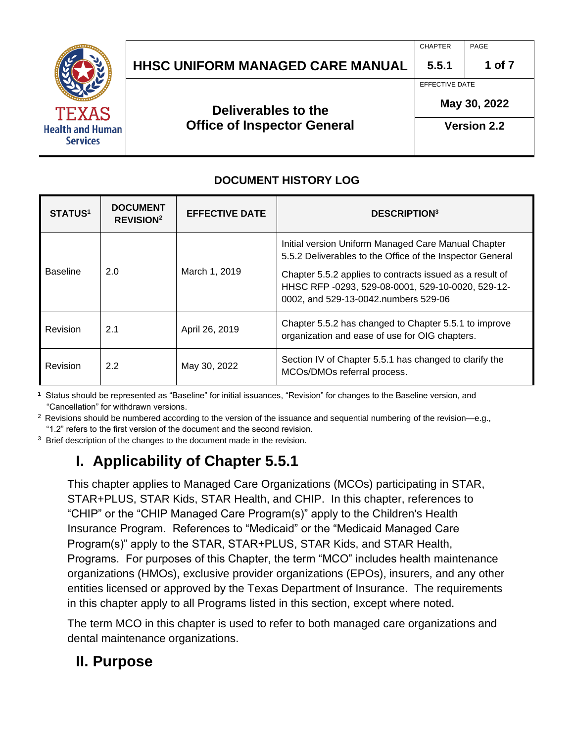|                                         |                                         | <b>CHAPTER</b> | PAGE               |  |
|-----------------------------------------|-----------------------------------------|----------------|--------------------|--|
|                                         | <b>HHSC UNIFORM MANAGED CARE MANUAL</b> | 5.5.1          | 1 of 7             |  |
|                                         |                                         | EFFECTIVE DATE |                    |  |
| <b>TEXAS</b><br><b>Health and Human</b> | Deliverables to the                     | May 30, 2022   |                    |  |
|                                         | <b>Office of Inspector General</b>      |                | <b>Version 2.2</b> |  |
| <b>Services</b>                         |                                         |                |                    |  |

#### **DOCUMENT HISTORY LOG**

| <b>STATUS1</b>  | <b>DOCUMENT</b><br><b>REVISION<sup>2</sup></b> | <b>EFFECTIVE DATE</b> | <b>DESCRIPTION3</b>                                                                                                                                   |
|-----------------|------------------------------------------------|-----------------------|-------------------------------------------------------------------------------------------------------------------------------------------------------|
|                 |                                                |                       | Initial version Uniform Managed Care Manual Chapter<br>5.5.2 Deliverables to the Office of the Inspector General                                      |
| <b>Baseline</b> | 2.0                                            | March 1, 2019         | Chapter 5.5.2 applies to contracts issued as a result of<br>HHSC RFP -0293, 529-08-0001, 529-10-0020, 529-12-<br>0002, and 529-13-0042.numbers 529-06 |
| Revision        | 2.1                                            | April 26, 2019        | Chapter 5.5.2 has changed to Chapter 5.5.1 to improve<br>organization and ease of use for OIG chapters.                                               |
| Revision        | 2.2                                            | May 30, 2022          | Section IV of Chapter 5.5.1 has changed to clarify the<br>MCOs/DMOs referral process.                                                                 |

**1** Status should be represented as "Baseline" for initial issuances, "Revision" for changes to the Baseline version, and "Cancellation" for withdrawn versions.

 $2$  Revisions should be numbered according to the version of the issuance and sequential numbering of the revision—e.g., "1.2" refers to the first version of the document and the second revision.

<sup>3</sup> Brief description of the changes to the document made in the revision.

# **I. Applicability of Chapter 5.5.1**

This chapter applies to Managed Care Organizations (MCOs) participating in STAR, STAR+PLUS, STAR Kids, STAR Health, and CHIP. In this chapter, references to "CHIP" or the "CHIP Managed Care Program(s)" apply to the Children's Health Insurance Program. References to "Medicaid" or the "Medicaid Managed Care Program(s)" apply to the STAR, STAR+PLUS, STAR Kids, and STAR Health, Programs. For purposes of this Chapter, the term "MCO" includes health maintenance organizations (HMOs), exclusive provider organizations (EPOs), insurers, and any other entities licensed or approved by the Texas Department of Insurance. The requirements in this chapter apply to all Programs listed in this section, except where noted.

The term MCO in this chapter is used to refer to both managed care organizations and dental maintenance organizations.

## **II. Purpose**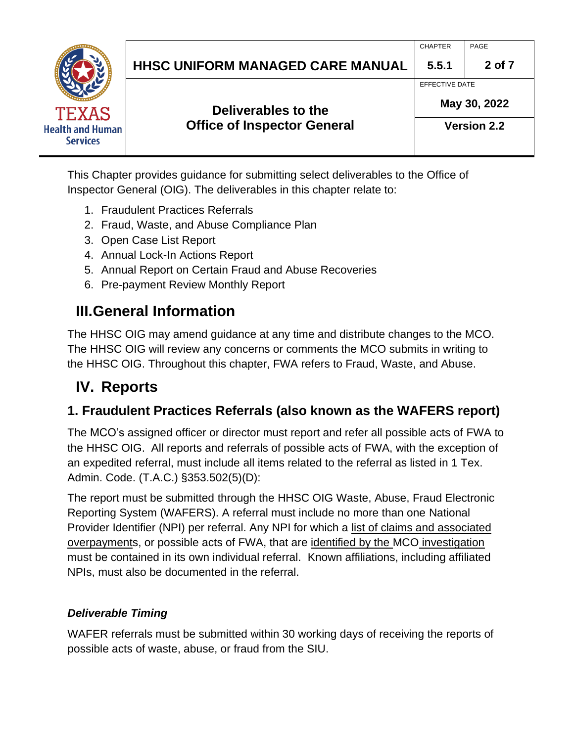|                                            | <b>HHSC UNIFORM MANAGED CARE MANUAL</b> | <b>CHAPTER</b><br>5.5.1        | PAGE<br>2 of 7     |
|--------------------------------------------|-----------------------------------------|--------------------------------|--------------------|
| <b>TEXAS</b>                               | Deliverables to the                     | EFFECTIVE DATE<br>May 30, 2022 |                    |
| <b>Health and Human</b><br><b>Services</b> | <b>Office of Inspector General</b>      |                                | <b>Version 2.2</b> |

This Chapter provides guidance for submitting select deliverables to the Office of Inspector General (OIG). The deliverables in this chapter relate to:

- 1. Fraudulent Practices Referrals
- 2. Fraud, Waste, and Abuse Compliance Plan
- 3. Open Case List Report
- 4. Annual Lock-In Actions Report
- 5. Annual Report on Certain Fraud and Abuse Recoveries
- 6. Pre-payment Review Monthly Report

## **III.General Information**

The HHSC OIG may amend guidance at any time and distribute changes to the MCO. The HHSC OIG will review any concerns or comments the MCO submits in writing to the HHSC OIG. Throughout this chapter, FWA refers to Fraud, Waste, and Abuse.

## **IV. Reports**

### **1. Fraudulent Practices Referrals (also known as the WAFERS report)**

The MCO's assigned officer or director must report and refer all possible acts of FWA to the HHSC OIG. All reports and referrals of possible acts of FWA, with the exception of an expedited referral, must include all items related to the referral as listed in 1 Tex. Admin. Code. (T.A.C.) §353.502(5)(D):

The report must be submitted through the HHSC OIG Waste, Abuse, Fraud Electronic Reporting System (WAFERS). A referral must include no more than one National Provider Identifier (NPI) per referral. Any NPI for which a list of claims and associated overpayments, or possible acts of FWA, that are identified by the MCO investigation must be contained in its own individual referral. Known affiliations, including affiliated NPIs, must also be documented in the referral.

#### *Deliverable Timing*

WAFER referrals must be submitted within 30 working days of receiving the reports of possible acts of waste, abuse, or fraud from the SIU.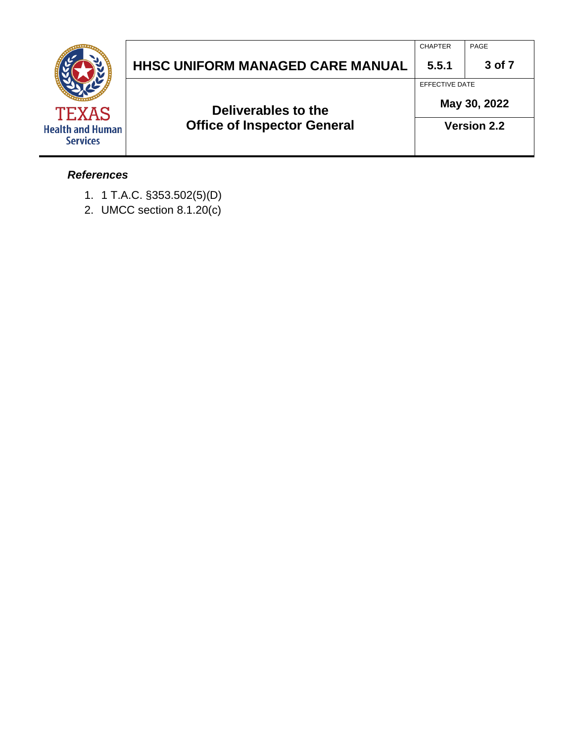|                                         |                                         | <b>CHAPTER</b> | PAGE               |
|-----------------------------------------|-----------------------------------------|----------------|--------------------|
|                                         | <b>HHSC UNIFORM MANAGED CARE MANUAL</b> | 5.5.1          | 3 of 7             |
|                                         |                                         | EFFECTIVE DATE |                    |
| <b>TEXAS</b><br><b>Health and Human</b> | Deliverables to the                     | May 30, 2022   |                    |
|                                         | <b>Office of Inspector General</b>      |                | <b>Version 2.2</b> |
| <b>Services</b>                         |                                         |                |                    |

#### *References*

- 1. 1 T.A.C. §353.502(5)(D)
- 2. UMCC section 8.1.20(c)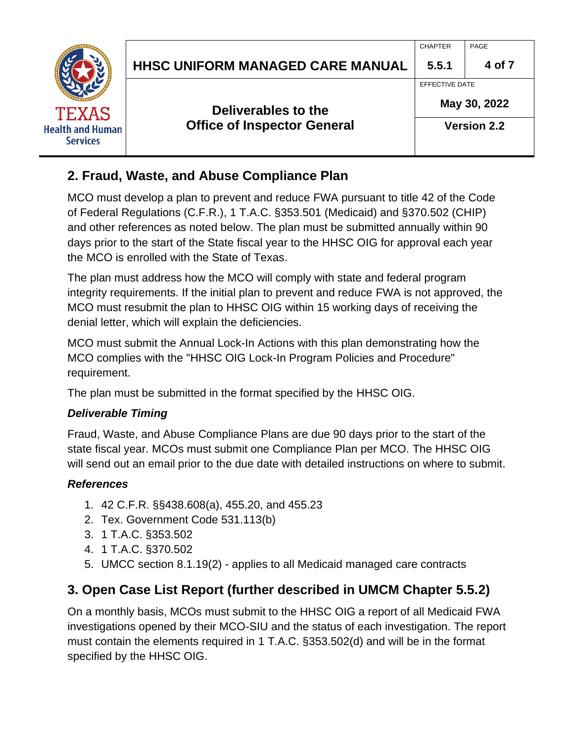|                         |                                         | <b>CHAPTER</b> | PAGE               |
|-------------------------|-----------------------------------------|----------------|--------------------|
|                         | <b>HHSC UNIFORM MANAGED CARE MANUAL</b> | 5.5.1          | 4 of 7             |
|                         |                                         | EFFECTIVE DATE |                    |
| <b>TEXAS</b>            | Deliverables to the                     | May 30, 2022   |                    |
| <b>Health and Human</b> | <b>Office of Inspector General</b>      |                | <b>Version 2.2</b> |
| <b>Services</b>         |                                         |                |                    |

### **2. Fraud, Waste, and Abuse Compliance Plan**

MCO must develop a plan to prevent and reduce FWA pursuant to title 42 of the Code of Federal Regulations (C.F.R.), 1 T.A.C. §353.501 (Medicaid) and §370.502 (CHIP) and other references as noted below. The plan must be submitted annually within 90 days prior to the start of the State fiscal year to the HHSC OIG for approval each year the MCO is enrolled with the State of Texas.

The plan must address how the MCO will comply with state and federal program integrity requirements. If the initial plan to prevent and reduce FWA is not approved, the MCO must resubmit the plan to HHSC OIG within 15 working days of receiving the denial letter, which will explain the deficiencies.

MCO must submit the Annual Lock-In Actions with this plan demonstrating how the MCO complies with the "HHSC OIG Lock-In Program Policies and Procedure" requirement.

The plan must be submitted in the format specified by the HHSC OIG.

#### *Deliverable Timing*

Fraud, Waste, and Abuse Compliance Plans are due 90 days prior to the start of the state fiscal year. MCOs must submit one Compliance Plan per MCO. The HHSC OIG will send out an email prior to the due date with detailed instructions on where to submit.

#### *References*

- 1. 42 C.F.R. §§438.608(a), 455.20, and 455.23
- 2. Tex. Government Code 531.113(b)
- 3. 1 T.A.C. §353.502
- 4. 1 T.A.C. §370.502
- 5. UMCC section 8.1.19(2) applies to all Medicaid managed care contracts

## **3. Open Case List Report (further described in UMCM Chapter 5.5.2)**

On a monthly basis, MCOs must submit to the HHSC OIG a report of all Medicaid FWA investigations opened by their MCO-SIU and the status of each investigation. The report must contain the elements required in 1 T.A.C. §353.502(d) and will be in the format specified by the HHSC OIG.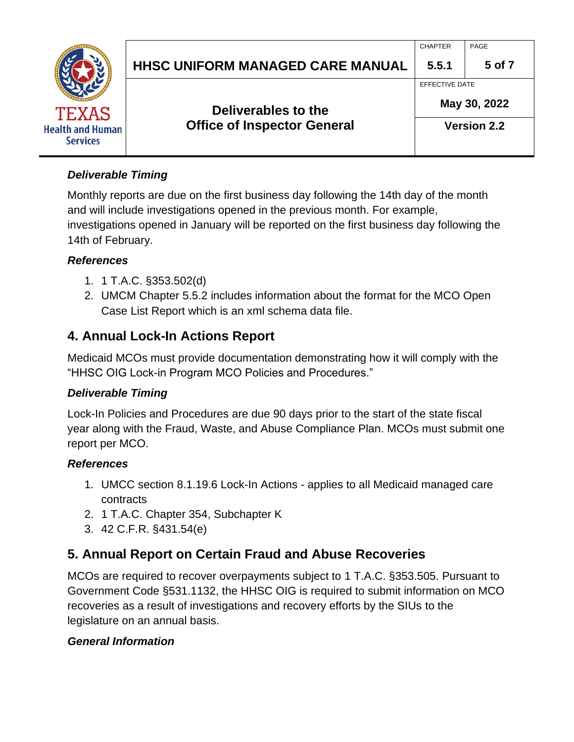|                                         |                                         | <b>CHAPTER</b>     | PAGE   |
|-----------------------------------------|-----------------------------------------|--------------------|--------|
|                                         | <b>HHSC UNIFORM MANAGED CARE MANUAL</b> | 5.5.1              | 5 of 7 |
|                                         |                                         | EFFECTIVE DATE     |        |
| <b>TEXAS</b><br><b>Health and Human</b> | Deliverables to the                     | May 30, 2022       |        |
|                                         | <b>Office of Inspector General</b>      | <b>Version 2.2</b> |        |
| <b>Services</b>                         |                                         |                    |        |

#### *Deliverable Timing*

Monthly reports are due on the first business day following the 14th day of the month and will include investigations opened in the previous month. For example, investigations opened in January will be reported on the first business day following the 14th of February.

#### *References*

- 1. 1 T.A.C. §353.502(d)
- 2. UMCM Chapter 5.5.2 includes information about the format for the MCO Open Case List Report which is an xml schema data file.

## **4. Annual Lock-In Actions Report**

Medicaid MCOs must provide documentation demonstrating how it will comply with the "HHSC OIG Lock-in Program MCO Policies and Procedures."

#### *Deliverable Timing*

Lock-In Policies and Procedures are due 90 days prior to the start of the state fiscal year along with the Fraud, Waste, and Abuse Compliance Plan. MCOs must submit one report per MCO.

#### *References*

- 1. UMCC section 8.1.19.6 Lock-In Actions applies to all Medicaid managed care contracts
- 2. 1 T.A.C. Chapter 354, Subchapter K
- 3. 42 C.F.R. §431.54(e)

## **5. Annual Report on Certain Fraud and Abuse Recoveries**

MCOs are required to recover overpayments subject to 1 T.A.C. §353.505. Pursuant to Government Code §531.1132, the HHSC OIG is required to submit information on MCO recoveries as a result of investigations and recovery efforts by the SIUs to the legislature on an annual basis.

#### *General Information*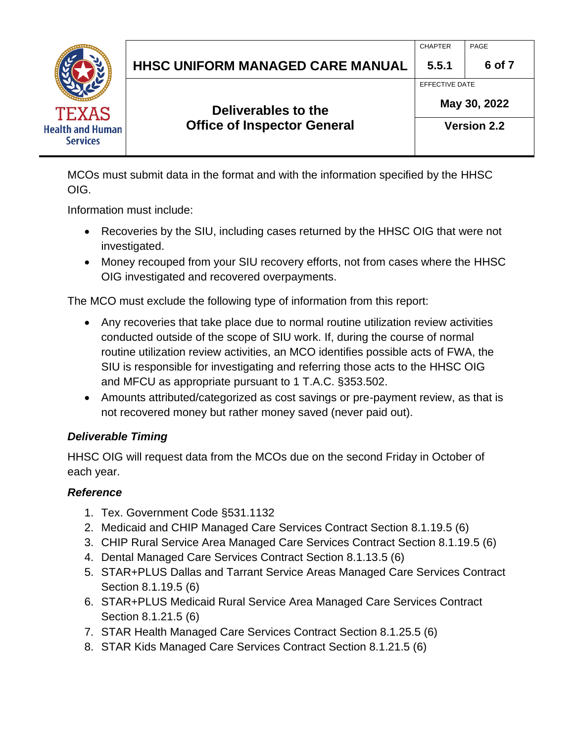|                                         |                                         | <b>CHAPTER</b>     | PAGE   |
|-----------------------------------------|-----------------------------------------|--------------------|--------|
|                                         | <b>HHSC UNIFORM MANAGED CARE MANUAL</b> | 5.5.1              | 6 of 7 |
|                                         |                                         | EFFECTIVE DATE     |        |
| <b>TEXAS</b><br><b>Health and Human</b> | Deliverables to the                     | May 30, 2022       |        |
|                                         | <b>Office of Inspector General</b>      | <b>Version 2.2</b> |        |
| <b>Services</b>                         |                                         |                    |        |

MCOs must submit data in the format and with the information specified by the HHSC OIG.

Information must include:

- Recoveries by the SIU, including cases returned by the HHSC OIG that were not investigated.
- Money recouped from your SIU recovery efforts, not from cases where the HHSC OIG investigated and recovered overpayments.

The MCO must exclude the following type of information from this report:

- Any recoveries that take place due to normal routine utilization review activities conducted outside of the scope of SIU work. If, during the course of normal routine utilization review activities, an MCO identifies possible acts of FWA, the SIU is responsible for investigating and referring those acts to the HHSC OIG and MFCU as appropriate pursuant to 1 T.A.C. §353.502.
- Amounts attributed/categorized as cost savings or pre-payment review, as that is not recovered money but rather money saved (never paid out).

#### *Deliverable Timing*

HHSC OIG will request data from the MCOs due on the second Friday in October of each year.

#### *Reference*

- 1. Tex. Government Code §531.1132
- 2. Medicaid and CHIP Managed Care Services Contract Section 8.1.19.5 (6)
- 3. CHIP Rural Service Area Managed Care Services Contract Section 8.1.19.5 (6)
- 4. Dental Managed Care Services Contract Section 8.1.13.5 (6)
- 5. STAR+PLUS Dallas and Tarrant Service Areas Managed Care Services Contract Section 8.1.19.5 (6)
- 6. STAR+PLUS Medicaid Rural Service Area Managed Care Services Contract Section 8.1.21.5 (6)
- 7. STAR Health Managed Care Services Contract Section 8.1.25.5 (6)
- 8. STAR Kids Managed Care Services Contract Section 8.1.21.5 (6)